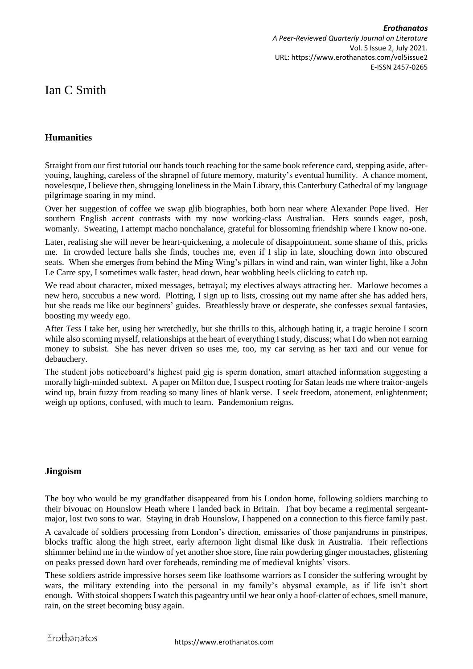# Ian C Smith

## **Humanities**

Straight from our first tutorial our hands touch reaching for the same book reference card, stepping aside, afteryouing, laughing, careless of the shrapnel of future memory, maturity's eventual humility. A chance moment, novelesque, I believe then, shrugging loneliness in the Main Library, this Canterbury Cathedral of my language pilgrimage soaring in my mind.

Over her suggestion of coffee we swap glib biographies, both born near where Alexander Pope lived. Her southern English accent contrasts with my now working-class Australian. Hers sounds eager, posh, womanly. Sweating, I attempt macho nonchalance, grateful for blossoming friendship where I know no-one.

Later, realising she will never be heart-quickening, a molecule of disappointment, some shame of this, pricks me. In crowded lecture halls she finds, touches me, even if I slip in late, slouching down into obscured seats. When she emerges from behind the Ming Wing's pillars in wind and rain, wan winter light, like a John Le Carre spy, I sometimes walk faster, head down, hear wobbling heels clicking to catch up.

We read about character, mixed messages, betrayal; my electives always attracting her. Marlowe becomes a new hero, succubus a new word. Plotting, I sign up to lists, crossing out my name after she has added hers, but she reads me like our beginners' guides. Breathlessly brave or desperate, she confesses sexual fantasies, boosting my weedy ego.

After *Tess* I take her, using her wretchedly, but she thrills to this, although hating it, a tragic heroine I scorn while also scorning myself, relationships at the heart of everything I study, discuss; what I do when not earning money to subsist. She has never driven so uses me, too, my car serving as her taxi and our venue for debauchery.

The student jobs noticeboard's highest paid gig is sperm donation, smart attached information suggesting a morally high-minded subtext. A paper on Milton due, I suspect rooting for Satan leads me where traitor-angels wind up, brain fuzzy from reading so many lines of blank verse. I seek freedom, atonement, enlightenment; weigh up options, confused, with much to learn. Pandemonium reigns.

#### **Jingoism**

The boy who would be my grandfather disappeared from his London home, following soldiers marching to their bivouac on Hounslow Heath where I landed back in Britain. That boy became a regimental sergeantmajor, lost two sons to war. Staying in drab Hounslow, I happened on a connection to this fierce family past.

A cavalcade of soldiers processing from London's direction, emissaries of those panjandrums in pinstripes, blocks traffic along the high street, early afternoon light dismal like dusk in Australia. Their reflections shimmer behind me in the window of yet another shoe store, fine rain powdering ginger moustaches, glistening on peaks pressed down hard over foreheads, reminding me of medieval knights' visors.

These soldiers astride impressive horses seem like loathsome warriors as I consider the suffering wrought by wars, the military extending into the personal in my family's abysmal example, as if life isn't short enough. With stoical shoppers I watch this pageantry until we hear only a hoof-clatter of echoes, smell manure, rain, on the street becoming busy again.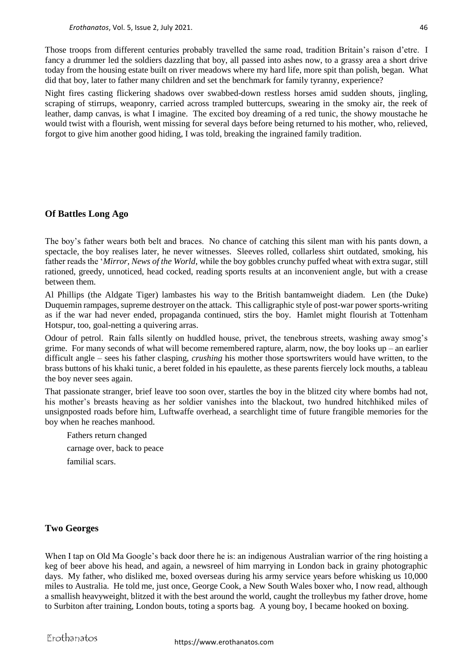Those troops from different centuries probably travelled the same road, tradition Britain's raison d'etre. I fancy a drummer led the soldiers dazzling that boy, all passed into ashes now, to a grassy area a short drive today from the housing estate built on river meadows where my hard life, more spit than polish, began. What did that boy, later to father many children and set the benchmark for family tyranny, experience?

Night fires casting flickering shadows over swabbed-down restless horses amid sudden shouts, jingling, scraping of stirrups, weaponry, carried across trampled buttercups, swearing in the smoky air, the reek of leather, damp canvas, is what I imagine. The excited boy dreaming of a red tunic, the showy moustache he would twist with a flourish, went missing for several days before being returned to his mother, who, relieved, forgot to give him another good hiding, I was told, breaking the ingrained family tradition.

### **Of Battles Long Ago**

The boy's father wears both belt and braces. No chance of catching this silent man with his pants down, a spectacle, the boy realises later, he never witnesses. Sleeves rolled, collarless shirt outdated, smoking, his father reads the '*Mirror, News of the World*, while the boy gobbles crunchy puffed wheat with extra sugar, still rationed, greedy, unnoticed, head cocked, reading sports results at an inconvenient angle, but with a crease between them.

Al Phillips (the Aldgate Tiger) lambastes his way to the British bantamweight diadem. Len (the Duke) Duquemin rampages, supreme destroyer on the attack. This calligraphic style of post-war power sports-writing as if the war had never ended, propaganda continued, stirs the boy. Hamlet might flourish at Tottenham Hotspur, too, goal-netting a quivering arras.

Odour of petrol. Rain falls silently on huddled house, privet, the tenebrous streets, washing away smog's grime. For many seconds of what will become remembered rapture, alarm, now, the boy looks up – an earlier difficult angle – sees his father clasping, *crushing* his mother those sportswriters would have written, to the brass buttons of his khaki tunic, a beret folded in his epaulette, as these parents fiercely lock mouths, a tableau the boy never sees again.

That passionate stranger, brief leave too soon over, startles the boy in the blitzed city where bombs had not, his mother's breasts heaving as her soldier vanishes into the blackout, two hundred hitchhiked miles of unsignposted roads before him, Luftwaffe overhead, a searchlight time of future frangible memories for the boy when he reaches manhood.

 Fathers return changed carnage over, back to peace familial scars.

#### **Two Georges**

When I tap on Old Ma Google's back door there he is: an indigenous Australian warrior of the ring hoisting a keg of beer above his head, and again, a newsreel of him marrying in London back in grainy photographic days. My father, who disliked me, boxed overseas during his army service years before whisking us 10,000 miles to Australia. He told me, just once, George Cook, a New South Wales boxer who, I now read, although a smallish heavyweight, blitzed it with the best around the world, caught the trolleybus my father drove, home to Surbiton after training, London bouts, toting a sports bag. A young boy, I became hooked on boxing.